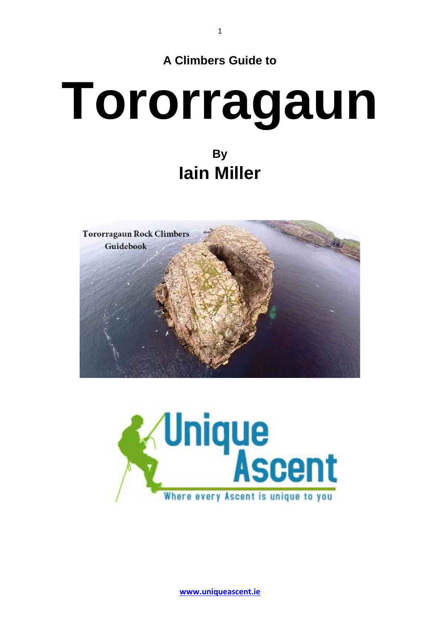

1

## **Tororragaun By Iain Miller**





**[www.uniqueascent.ie](https://uniqueascent.ie/)**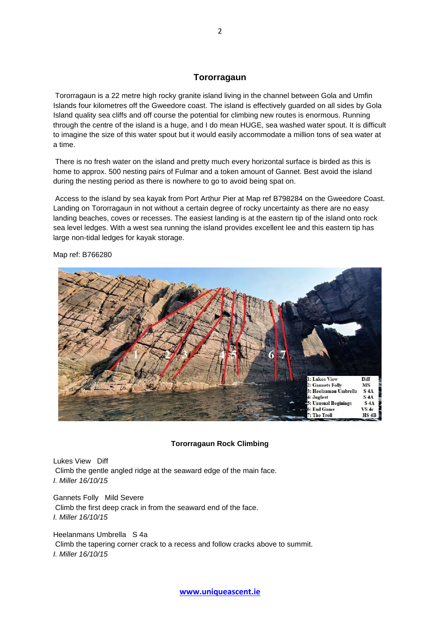## **Tororragaun**

Tororragaun is a 22 metre high rocky granite island living in the channel between Gola and Umfin Islands four kilometres off the Gweedore coast. The island is effectively guarded on all sides by Gola Island quality sea cliffs and off course the potential for climbing new routes is enormous. Running through the centre of the island is a huge, and I do mean HUGE, sea washed water spout. It is difficult to imagine the size of this water spout but it would easily accommodate a million tons of sea water at a time.

There is no fresh water on the island and pretty much every horizontal surface is birded as this is home to approx. 500 nesting pairs of Fulmar and a token amount of Gannet. Best avoid the island during the nesting period as there is nowhere to go to avoid being spat on.

Access to the island by sea kayak from Port Arthur Pier at Map ref B798284 on the Gweedore Coast. Landing on Tororragaun in not without a certain degree of rocky uncertainty as there are no easy landing beaches, coves or recesses. The easiest landing is at the eastern tip of the island onto rock sea level ledges. With a west sea running the island provides excellent lee and this eastern tip has large non-tidal ledges for kayak storage.



Map ref: B766280

## **Tororragaun Rock Climbing**

Lukes View Diff Climb the gentle angled ridge at the seaward edge of the main face. *I. Miller 16/10/15*

Gannets Folly Mild Severe Climb the first deep crack in from the seaward end of the face. *I. Miller 16/10/15*

Heelanmans Umbrella S 4a Climb the tapering corner crack to a recess and follow cracks above to summit. *I. Miller 16/10/15*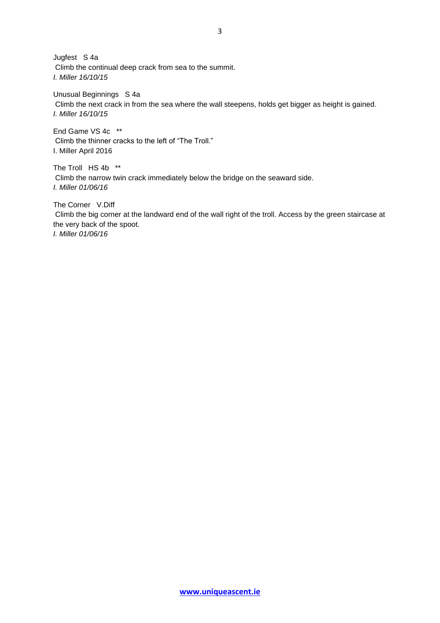Jugfest S 4a Climb the continual deep crack from sea to the summit. *I. Miller 16/10/15*

Unusual Beginnings S 4a Climb the next crack in from the sea where the wall steepens, holds get bigger as height is gained. *I. Miller 16/10/15*

End Game VS 4c \*\* Climb the thinner cracks to the left of "The Troll." I. Miller April 2016

The Troll HS 4b \*\* Climb the narrow twin crack immediately below the bridge on the seaward side. *I. Miller 01/06/16*

The Corner V.Diff Climb the big corner at the landward end of the wall right of the troll. Access by the green staircase at the very back of the spoot. *I. Miller 01/06/16*